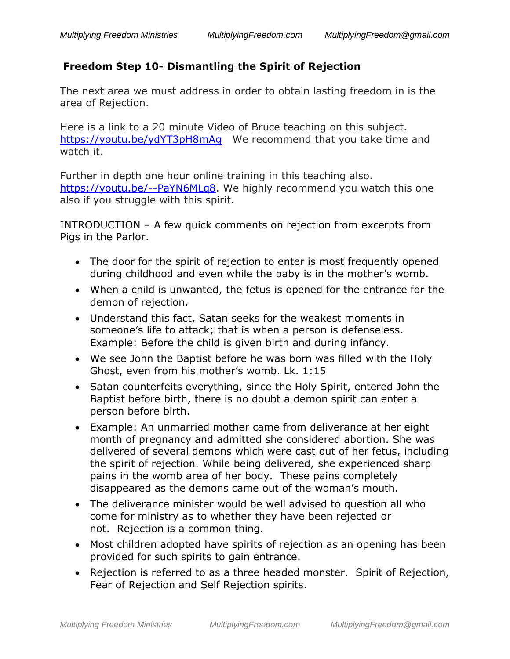# **Freedom Step 10- Dismantling the Spirit of Rejection**

The next area we must address in order to obtain lasting freedom in is the area of Rejection.

Here is a link to a 20 minute Video of Bruce teaching on this subject. <https://youtu.be/ydYT3pH8mAg>We recommend that you take time and watch it.

Further in depth one hour online training in this teaching also. [https://youtu.be/--PaYN6MLq8.](https://youtu.be/--PaYN6MLq8) We highly recommend you watch this one also if you struggle with this spirit.

INTRODUCTION – A few quick comments on rejection from excerpts from Pigs in the Parlor.

- The door for the spirit of rejection to enter is most frequently opened during childhood and even while the baby is in the mother's womb.
- When a child is unwanted, the fetus is opened for the entrance for the demon of rejection.
- Understand this fact, Satan seeks for the weakest moments in someone's life to attack; that is when a person is defenseless. Example: Before the child is given birth and during infancy.
- We see John the Baptist before he was born was filled with the Holy Ghost, even from his mother's womb. Lk. 1:15
- Satan counterfeits everything, since the Holy Spirit, entered John the Baptist before birth, there is no doubt a demon spirit can enter a person before birth.
- Example: An unmarried mother came from deliverance at her eight month of pregnancy and admitted she considered abortion. She was delivered of several demons which were cast out of her fetus, including the spirit of rejection. While being delivered, she experienced sharp pains in the womb area of her body. These pains completely disappeared as the demons came out of the woman's mouth.
- The deliverance minister would be well advised to question all who come for ministry as to whether they have been rejected or not. Rejection is a common thing.
- Most children adopted have spirits of rejection as an opening has been provided for such spirits to gain entrance.
- Rejection is referred to as a three headed monster. Spirit of Rejection, Fear of Rejection and Self Rejection spirits.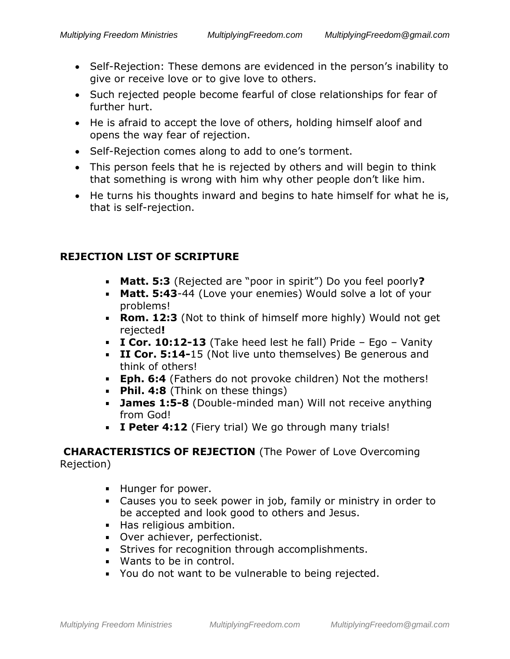- Self-Rejection: These demons are evidenced in the person's inability to give or receive love or to give love to others.
- Such rejected people become fearful of close relationships for fear of further hurt.
- He is afraid to accept the love of others, holding himself aloof and opens the way fear of rejection.
- Self-Rejection comes along to add to one's torment.
- This person feels that he is rejected by others and will begin to think that something is wrong with him why other people don't like him.
- He turns his thoughts inward and begins to hate himself for what he is, that is self-rejection.

## **REJECTION LIST OF SCRIPTURE**

- **Matt. 5:3** (Rejected are "poor in spirit") Do you feel poorly**?**
- **Matt. 5:43**-44 (Love your enemies) Would solve a lot of your problems!
- **Rom. 12:3** (Not to think of himself more highly) Would not get rejected**!**
- **I Cor. 10:12-13** (Take heed lest he fall) Pride Ego Vanity
- **II Cor. 5:14-**15 (Not live unto themselves) Be generous and think of others!
- **Eph. 6:4** (Fathers do not provoke children) Not the mothers!
- **Phil. 4:8** (Think on these things)
- **James 1:5-8** (Double-minded man) Will not receive anything from God!
- **I Peter 4:12** (Fiery trial) We go through many trials!

## **CHARACTERISTICS OF REJECTION** (The Power of Love Overcoming Rejection)

- **Hunger for power.**
- Causes you to seek power in job, family or ministry in order to be accepted and look good to others and Jesus.
- Has religious ambition.
- Over achiever, perfectionist.
- **Strives for recognition through accomplishments.**
- Wants to be in control.
- You do not want to be vulnerable to being rejected.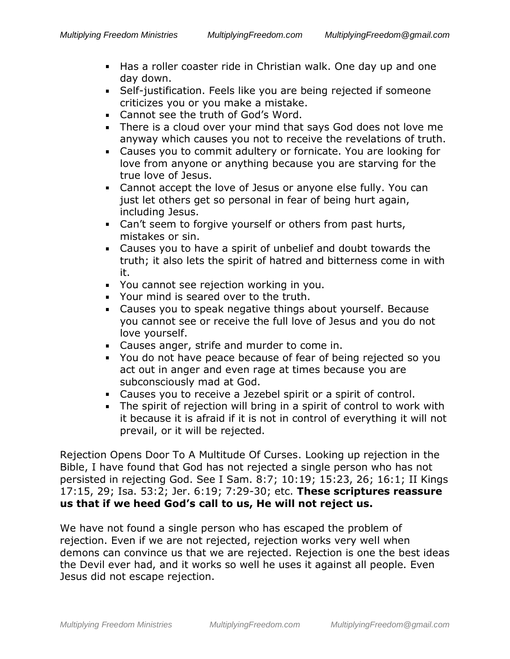- Has a roller coaster ride in Christian walk. One day up and one day down.
- Self-justification. Feels like you are being rejected if someone criticizes you or you make a mistake.
- **EXEC** Cannot see the truth of God's Word.
- There is a cloud over your mind that says God does not love me anyway which causes you not to receive the revelations of truth.
- Causes you to commit adultery or fornicate. You are looking for love from anyone or anything because you are starving for the true love of Jesus.
- Cannot accept the love of Jesus or anyone else fully. You can just let others get so personal in fear of being hurt again, including Jesus.
- Can't seem to forgive yourself or others from past hurts, mistakes or sin.
- Causes you to have a spirit of unbelief and doubt towards the  $\mathbf{r}$ truth; it also lets the spirit of hatred and bitterness come in with it.
- You cannot see rejection working in you.
- Your mind is seared over to the truth.
- Causes you to speak negative things about yourself. Because you cannot see or receive the full love of Jesus and you do not love yourself.
- Causes anger, strife and murder to come in.
- You do not have peace because of fear of being rejected so you act out in anger and even rage at times because you are subconsciously mad at God.
- Causes you to receive a Jezebel spirit or a spirit of control.
- The spirit of rejection will bring in a spirit of control to work with it because it is afraid if it is not in control of everything it will not prevail, or it will be rejected.

Rejection Opens Door To A Multitude Of Curses. Looking up rejection in the Bible, I have found that God has not rejected a single person who has not persisted in rejecting God. See I Sam. 8:7; 10:19; 15:23, 26; 16:1; II Kings 17:15, 29; Isa. 53:2; Jer. 6:19; 7:29-30; etc. **These scriptures reassure us that if we heed God's call to us, He will not reject us.**

We have not found a single person who has escaped the problem of rejection. Even if we are not rejected, rejection works very well when demons can convince us that we are rejected. Rejection is one the best ideas the Devil ever had, and it works so well he uses it against all people. Even Jesus did not escape rejection.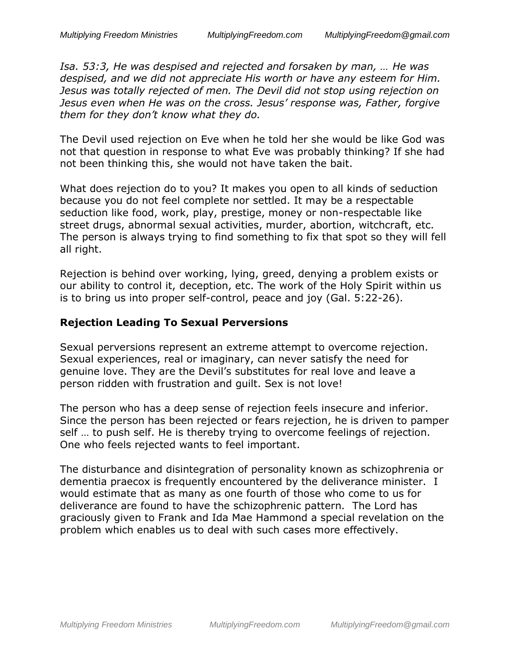*Isa. 53:3, He was despised and rejected and forsaken by man, … He was despised, and we did not appreciate His worth or have any esteem for Him. Jesus was totally rejected of men. The Devil did not stop using rejection on Jesus even when He was on the cross. Jesus' response was, Father, forgive them for they don't know what they do.*

The Devil used rejection on Eve when he told her she would be like God was not that question in response to what Eve was probably thinking? If she had not been thinking this, she would not have taken the bait.

What does rejection do to you? It makes you open to all kinds of seduction because you do not feel complete nor settled. It may be a respectable seduction like food, work, play, prestige, money or non-respectable like street drugs, abnormal sexual activities, murder, abortion, witchcraft, etc. The person is always trying to find something to fix that spot so they will fell all right.

Rejection is behind over working, lying, greed, denying a problem exists or our ability to control it, deception, etc. The work of the Holy Spirit within us is to bring us into proper self-control, peace and joy (Gal. 5:22-26).

#### **Rejection Leading To Sexual Perversions**

Sexual perversions represent an extreme attempt to overcome rejection. Sexual experiences, real or imaginary, can never satisfy the need for genuine love. They are the Devil's substitutes for real love and leave a person ridden with frustration and guilt. Sex is not love!

The person who has a deep sense of rejection feels insecure and inferior. Since the person has been rejected or fears rejection, he is driven to pamper self … to push self. He is thereby trying to overcome feelings of rejection. One who feels rejected wants to feel important.

The disturbance and disintegration of personality known as schizophrenia or dementia praecox is frequently encountered by the deliverance minister. I would estimate that as many as one fourth of those who come to us for deliverance are found to have the schizophrenic pattern. The Lord has graciously given to Frank and Ida Mae Hammond a special revelation on the problem which enables us to deal with such cases more effectively.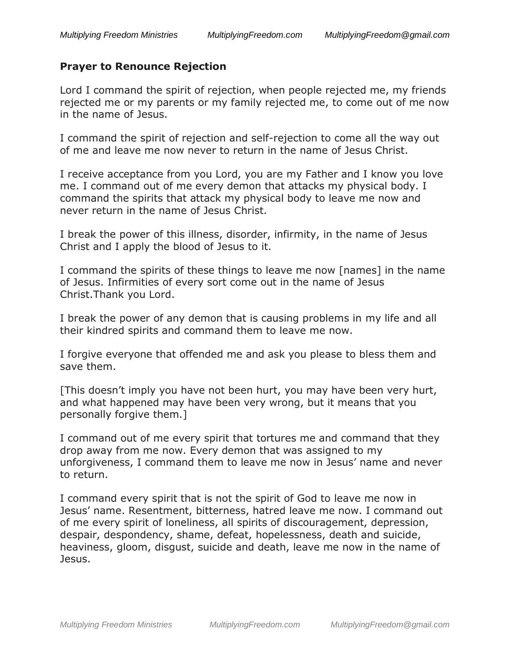#### **Prayer to Renounce Rejection**

Lord I command the spirit of rejection, when people rejected me, my friends rejected me or my parents or my family rejected me, to come out of me now in the name of Jesus.

I command the spirit of rejection and self-rejection to come all the way out of me and leave me now never to return in the name of Jesus Christ.

I receive acceptance from you Lord, you are my Father and I know you love me. I command out of me every demon that attacks my physical body. I command the spirits that attack my physical body to leave me now and never return in the name of Jesus Christ.

I break the power of this illness, disorder, infirmity, in the name of Jesus Christ and I apply the blood of Jesus to it.

I command the spirits of these things to leave me now [names] in the name of Jesus. Infirmities of every sort come out in the name of Jesus Christ.Thank you Lord.

I break the power of any demon that is causing problems in my life and all their kindred spirits and command them to leave me now.

I forgive everyone that offended me and ask you please to bless them and save them.

[This doesn't imply you have not been hurt, you may have been very hurt, and what happened may have been very wrong, but it means that you personally forgive them.]

I command out of me every spirit that tortures me and command that they drop away from me now. Every demon that was assigned to my unforgiveness, I command them to leave me now in Jesus' name and never to return.

I command every spirit that is not the spirit of God to leave me now in Jesus' name. Resentment, bitterness, hatred leave me now. I command out of me every spirit of loneliness, all spirits of discouragement, depression, despair, despondency, shame, defeat, hopelessness, death and suicide, heaviness, gloom, disgust, suicide and death, leave me now in the name of Jesus.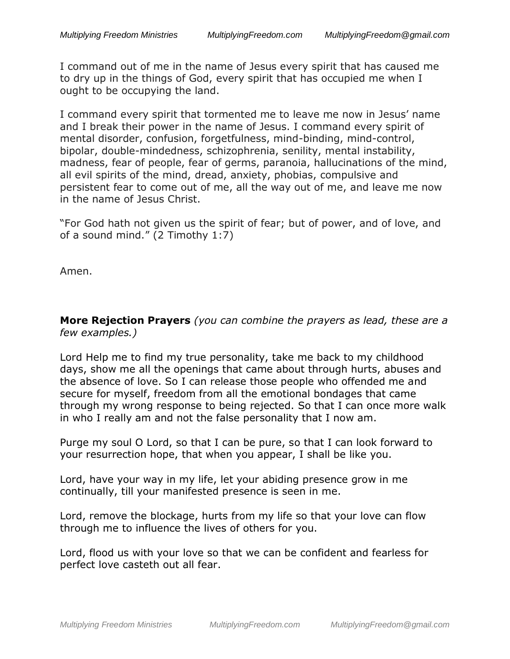I command out of me in the name of Jesus every spirit that has caused me to dry up in the things of God, every spirit that has occupied me when I ought to be occupying the land.

I command every spirit that tormented me to leave me now in Jesus' name and I break their power in the name of Jesus. I command every spirit of mental disorder, confusion, forgetfulness, mind-binding, mind-control, bipolar, double-mindedness, schizophrenia, senility, mental instability, madness, fear of people, fear of germs, paranoia, hallucinations of the mind, all evil spirits of the mind, dread, anxiety, phobias, compulsive and persistent fear to come out of me, all the way out of me, and leave me now in the name of Jesus Christ.

"For God hath not given us the spirit of fear; but of power, and of love, and of a sound mind." (2 Timothy 1:7)

Amen.

**More Rejection Prayers** *(you can combine the prayers as lead, these are a few examples.)*

Lord Help me to find my true personality, take me back to my childhood days, show me all the openings that came about through hurts, abuses and the absence of love. So I can release those people who offended me and secure for myself, freedom from all the emotional bondages that came through my wrong response to being rejected. So that I can once more walk in who I really am and not the false personality that I now am.

Purge my soul O Lord, so that I can be pure, so that I can look forward to your resurrection hope, that when you appear, I shall be like you.

Lord, have your way in my life, let your abiding presence grow in me continually, till your manifested presence is seen in me.

Lord, remove the blockage, hurts from my life so that your love can flow through me to influence the lives of others for you.

Lord, flood us with your love so that we can be confident and fearless for perfect love casteth out all fear.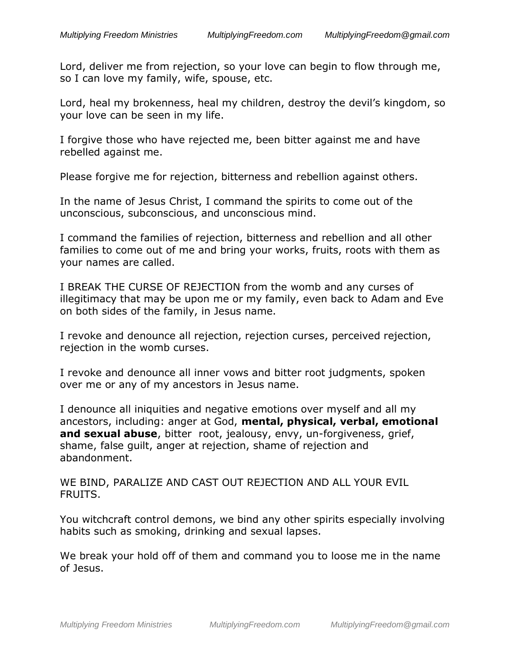Lord, deliver me from rejection, so your love can begin to flow through me, so I can love my family, wife, spouse, etc.

Lord, heal my brokenness, heal my children, destroy the devil's kingdom, so your love can be seen in my life.

I forgive those who have rejected me, been bitter against me and have rebelled against me.

Please forgive me for rejection, bitterness and rebellion against others.

In the name of Jesus Christ, I command the spirits to come out of the unconscious, subconscious, and unconscious mind.

I command the families of rejection, bitterness and rebellion and all other families to come out of me and bring your works, fruits, roots with them as your names are called.

I BREAK THE CURSE OF REJECTION from the womb and any curses of illegitimacy that may be upon me or my family, even back to Adam and Eve on both sides of the family, in Jesus name.

I revoke and denounce all rejection, rejection curses, perceived rejection, rejection in the womb curses.

I revoke and denounce all inner vows and bitter root judgments, spoken over me or any of my ancestors in Jesus name.

I denounce all iniquities and negative emotions over myself and all my ancestors, including: anger at God, **mental, physical, verbal, emotional and sexual abuse**, bitter root, jealousy, envy, un-forgiveness, grief, shame, false guilt, anger at rejection, shame of rejection and abandonment.

WE BIND, PARALIZE AND CAST OUT REJECTION AND ALL YOUR EVIL FRUITS.

You witchcraft control demons, we bind any other spirits especially involving habits such as smoking, drinking and sexual lapses.

We break your hold off of them and command you to loose me in the name of Jesus.